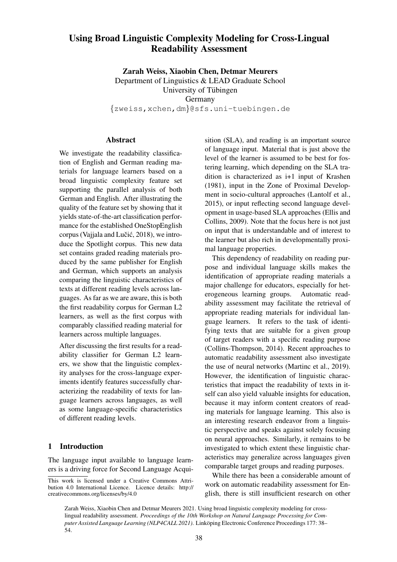# Using Broad Linguistic Complexity Modeling for Cross-Lingual Readability Assessment

Zarah Weiss, Xiaobin Chen, Detmar Meurers Department of Linguistics & LEAD Graduate School University of Tübingen Germany {zweiss,xchen,dm}@sfs.uni-tuebingen.de

#### Abstract

We investigate the readability classification of English and German reading materials for language learners based on a broad linguistic complexity feature set supporting the parallel analysis of both German and English. After illustrating the quality of the feature set by showing that it yields state-of-the-art classification performance for the established OneStopEnglish corpus (Vajjala and Lučić, 2018), we introduce the Spotlight corpus. This new data set contains graded reading materials produced by the same publisher for English and German, which supports an analysis comparing the linguistic characteristics of texts at different reading levels across languages. As far as we are aware, this is both the first readability corpus for German L2 learners, as well as the first corpus with comparably classified reading material for learners across multiple languages.

After discussing the first results for a readability classifier for German L2 learners, we show that the linguistic complexity analyses for the cross-language experiments identify features successfully characterizing the readability of texts for language learners across languages, as well as some language-specific characteristics of different reading levels.

### 1 Introduction

The language input available to language learners is a driving force for Second Language Acquisition (SLA), and reading is an important source of language input. Material that is just above the level of the learner is assumed to be best for fostering learning, which depending on the SLA tradition is characterized as i+1 input of Krashen (1981), input in the Zone of Proximal Development in socio-cultural approaches (Lantolf et al., 2015), or input reflecting second language development in usage-based SLA approaches (Ellis and Collins, 2009). Note that the focus here is not just on input that is understandable and of interest to the learner but also rich in developmentally proximal language properties.

This dependency of readability on reading purpose and individual language skills makes the identification of appropriate reading materials a major challenge for educators, especially for heterogeneous learning groups. Automatic readability assessment may facilitate the retrieval of appropriate reading materials for individual language learners. It refers to the task of identifying texts that are suitable for a given group of target readers with a specific reading purpose (Collins-Thompson, 2014). Recent approaches to automatic readability assessment also investigate the use of neural networks (Martinc et al., 2019). However, the identification of linguistic characteristics that impact the readability of texts in itself can also yield valuable insights for education, because it may inform content creators of reading materials for language learning. This also is an interesting research endeavor from a linguistic perspective and speaks against solely focusing on neural approaches. Similarly, it remains to be investigated to which extent these linguistic characteristics may generalize across languages given comparable target groups and reading purposes.

While there has been a considerable amount of work on automatic readability assessment for English, there is still insufficient research on other

Zarah Weiss, Xiaobin Chen and Detmar Meurers 2021. Using broad linguistic complexity modeling for crosslingual readability assessment. *Proceedings of the 10th Workshop on Natural Language Processing for Computer Assisted Language Learning (NLP4CALL 2021)*. Linköping Electronic Conference Proceedings 177: 38– 54.

This work is licensed under a Creative Commons Attribution 4.0 International Licence. Licence details: http:// creativecommons.org/licenses/by/4.0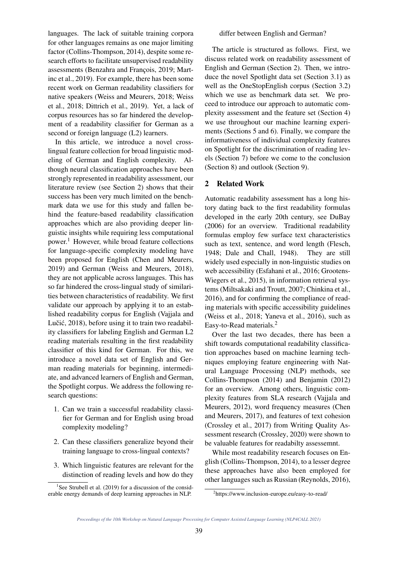languages. The lack of suitable training corpora for other languages remains as one major limiting factor (Collins-Thompson, 2014), despite some research efforts to facilitate unsupervised readability assessments (Benzahra and François, 2019; Martinc et al., 2019). For example, there has been some recent work on German readability classifiers for native speakers (Weiss and Meurers, 2018; Weiss et al., 2018; Dittrich et al., 2019). Yet, a lack of corpus resources has so far hindered the development of a readability classifier for German as a second or foreign language (L2) learners.

In this article, we introduce a novel crosslingual feature collection for broad linguistic modeling of German and English complexity. Although neural classification approaches have been strongly represented in readability assessment, our literature review (see Section 2) shows that their success has been very much limited on the benchmark data we use for this study and fallen behind the feature-based readability classification approaches which are also providing deeper linguistic insights while requiring less computational power.<sup>1</sup> However, while broad feature collections for language-specific complexity modeling have been proposed for English (Chen and Meurers, 2019) and German (Weiss and Meurers, 2018), they are not applicable across languages. This has so far hindered the cross-lingual study of similarities between characteristics of readability. We first validate our approach by applying it to an established readability corpus for English (Vajjala and Lučić, 2018), before using it to train two readability classifiers for labeling English and German L2 reading materials resulting in the first readability classifier of this kind for German. For this, we introduce a novel data set of English and German reading materials for beginning, intermediate, and advanced learners of English and German, the Spotlight corpus. We address the following research questions:

- 1. Can we train a successful readability classifier for German and for English using broad complexity modeling?
- 2. Can these classifiers generalize beyond their training language to cross-lingual contexts?
- 3. Which linguistic features are relevant for the distinction of reading levels and how do they

The article is structured as follows. First, we discuss related work on readability assessment of English and German (Section 2). Then, we introduce the novel Spotlight data set (Section 3.1) as well as the OneStopEnglish corpus (Section 3.2) which we use as benchmark data set. We proceed to introduce our approach to automatic complexity assessment and the feature set (Section 4) we use throughout our machine learning experiments (Sections 5 and 6). Finally, we compare the informativeness of individual complexity features on Spotlight for the discrimination of reading levels (Section 7) before we come to the conclusion (Section 8) and outlook (Section 9).

### 2 Related Work

Automatic readability assessment has a long history dating back to the first readability formulas developed in the early 20th century, see DuBay (2006) for an overview. Traditional readability formulas employ few surface text characteristics such as text, sentence, and word length (Flesch, 1948; Dale and Chall, 1948). They are still widely used especially in non-linguistic studies on web accessibility (Esfahani et al., 2016; Grootens-Wiegers et al., 2015), in information retrieval systems (Miltsakaki and Troutt, 2007; Chinkina et al., 2016), and for confirming the compliance of reading materials with specific accessibility guidelines (Weiss et al., 2018; Yaneva et al., 2016), such as Easy-to-Read materials.<sup>2</sup>

Over the last two decades, there has been a shift towards computational readability classification approaches based on machine learning techniques employing feature engineering with Natural Language Processing (NLP) methods, see Collins-Thompson (2014) and Benjamin (2012) for an overview. Among others, linguistic complexity features from SLA research (Vajjala and Meurers, 2012), word frequency measures (Chen and Meurers, 2017), and features of text cohesion (Crossley et al., 2017) from Writing Quality Assessment research (Crossley, 2020) were shown to be valuable features for readabilty assessemnt.

While most readability research focuses on English (Collins-Thompson, 2014), to a lesser degree these approaches have also been employed for other languages such as Russian (Reynolds, 2016),

<sup>&</sup>lt;sup>1</sup>See Strubell et al. (2019) for a discussion of the considerable energy demands of deep learning approaches in NLP.

<sup>2</sup> https://www.inclusion-europe.eu/easy-to-read/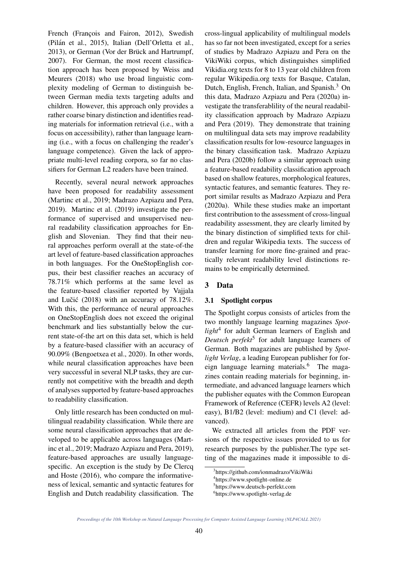French (François and Fairon, 2012), Swedish (Pilan et al., 2015), Italian (Dell'Orletta et al., ´ 2013), or German (Vor der Brück and Hartrumpf, 2007). For German, the most recent classification approach has been proposed by Weiss and Meurers (2018) who use broad linguistic complexity modeling of German to distinguish between German media texts targeting adults and children. However, this approach only provides a rather coarse binary distinction and identifies reading materials for information retrieval (i.e., with a focus on accessibility), rather than language learning (i.e., with a focus on challenging the reader's language competence). Given the lack of appropriate multi-level reading corpora, so far no classifiers for German L2 readers have been trained.

Recently, several neural network approaches have been proposed for readability assessment (Martinc et al., 2019; Madrazo Azpiazu and Pera, 2019). Martinc et al. (2019) investigate the performance of supervised and unsupervised neural readability classification approaches for English and Slovenian. They find that their neural approaches perform overall at the state-of-the art level of feature-based classification approaches in both languages. For the OneStopEnglish corpus, their best classifier reaches an accuracy of 78.71% which performs at the same level as the feature-based classifier reported by Vajjala and Lučić  $(2018)$  with an accuracy of 78.12%. With this, the performance of neural approaches on OneStopEnglish does not exceed the original benchmark and lies substantially below the current state-of-the art on this data set, which is held by a feature-based classifier with an accuracy of 90.09% (Bengoetxea et al., 2020). In other words, while neural classification approaches have been very successful in several NLP tasks, they are currently not competitive with the breadth and depth of analyses supported by feature-based approaches to readability classification.

Only little research has been conducted on multilingual readability classification. While there are some neural classification approaches that are developed to be applicable across languages (Martinc et al., 2019; Madrazo Azpiazu and Pera, 2019), feature-based approaches are usually languagespecific. An exception is the study by De Clercq and Hoste (2016), who compare the informativeness of lexical, semantic and syntactic features for English and Dutch readability classification. The cross-lingual applicability of multilingual models has so far not been investigated, except for a series of studies by Madrazo Azpiazu and Pera on the VikiWiki corpus, which distinguishes simplified Vikidia.org texts for 8 to 13 year old children from regular Wikipedia.org texts for Basque, Catalan, Dutch, English, French, Italian, and Spanish.<sup>3</sup> On this data, Madrazo Azpiazu and Pera (2020a) investigate the transferablility of the neural readability classification approach by Madrazo Azpiazu and Pera (2019). They demonstrate that training on multilingual data sets may improve readability classification results for low-resource languages in the binary classification task. Madrazo Azpiazu and Pera (2020b) follow a similar approach using a feature-based readability classification approach based on shallow features, morphological features, syntactic features, and semantic features. They report similar results as Madrazo Azpiazu and Pera (2020a). While these studies make an important first contribution to the assessment of cross-lingual readability assessment, they are clearly limited by the binary distinction of simplified texts for children and regular Wikipedia texts. The success of transfer learning for more fine-grained and practically relevant readability level distinctions remains to be empirically determined.

### 3 Data

#### 3.1 Spotlight corpus

The Spotlight corpus consists of articles from the two monthly language learning magazines *Spotlight*<sup>4</sup> for adult German learners of English and Deutsch perfekt<sup>5</sup> for adult language learners of German. Both magazines are published by *Spotlight Verlag*, a leading European publisher for foreign language learning materials.<sup>6</sup> The magazines contain reading materials for beginning, intermediate, and advanced language learners which the publisher equates with the Common European Framework of Reference (CEFR) levels A2 (level: easy), B1/B2 (level: medium) and C1 (level: advanced).

We extracted all articles from the PDF versions of the respective issues provided to us for research purposes by the publisher.The type setting of the magazines made it impossible to di-

<sup>3</sup> https://github.com/ionmadrazo/VikiWiki

<sup>4</sup> https://www.spotlight-online.de

<sup>5</sup> https://www.deutsch-perfekt.com

<sup>6</sup> https://www.spotlight-verlag.de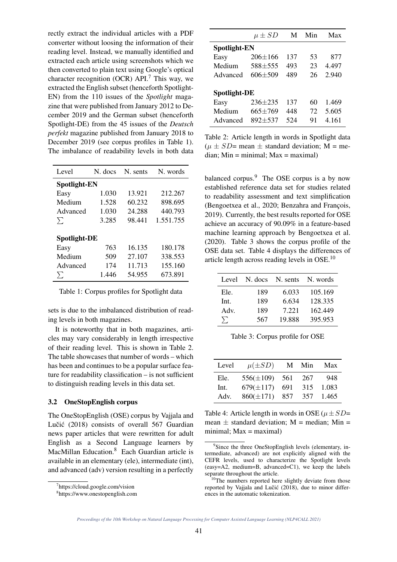rectly extract the individual articles with a PDF converter without loosing the information of their reading level. Instead, we manually identified and extracted each article using screenshots which we then converted to plain text using Google's optical character recognition (OCR) API.<sup>7</sup> This way, we extracted the English subset (henceforth Spotlight-EN) from the 110 issues of the *Spotlight* magazine that were published from January 2012 to December 2019 and the German subset (henceforth Spotlight-DE) from the 45 issues of the *Deutsch perfekt* magazine published from January 2018 to December 2019 (see corpus profiles in Table 1). The imbalance of readability levels in both data

| Level               | N. docs | N. sents | N. words  |  |  |  |
|---------------------|---------|----------|-----------|--|--|--|
| <b>Spotlight-EN</b> |         |          |           |  |  |  |
| Easy                | 1.030   | 13.921   | 212.267   |  |  |  |
| Medium              | 1.528   | 60.232   | 898.695   |  |  |  |
| Advanced            | 1.030   | 24.288   | 440.793   |  |  |  |
| $\sum$              | 3.285   | 98.441   | 1.551.755 |  |  |  |
|                     |         |          |           |  |  |  |
| Spotlight-DE        |         |          |           |  |  |  |
| Easy                | 763     | 16.135   | 180.178   |  |  |  |
| Medium              | 509     | 27.107   | 338.553   |  |  |  |
| Advanced            | 174     | 11.713   | 155.160   |  |  |  |
| Л                   | 1.446   | 54.955   | 673.891   |  |  |  |

Table 1: Corpus profiles for Spotlight data

sets is due to the imbalanced distribution of reading levels in both magazines.

It is noteworthy that in both magazines, articles may vary considerably in length irrespective of their reading level. This is shown in Table 2. The table showcases that number of words – which has been and continues to be a popular surface feature for readability classification – is not sufficient to distinguish reading levels in this data set.

#### 3.2 OneStopEnglish corpus

The OneStopEnglish (OSE) corpus by Vajjala and Lučić (2018) consists of overall 567 Guardian news paper articles that were rewritten for adult English as a Second Language learners by MacMillan Education.<sup>8</sup> Each Guardian article is available in an elementary (ele), intermediate (int), and advanced (adv) version resulting in a perfectly

|                     | $\mu \pm SD$  | M   | Min | Max   |  |  |
|---------------------|---------------|-----|-----|-------|--|--|
| <b>Spotlight-EN</b> |               |     |     |       |  |  |
| Easy                | $206 \pm 166$ | 137 | 53  | 877   |  |  |
| Medium              | $588 + 555$   | 493 | 23  | 4.497 |  |  |
| Advanced            | $606 + 509$   | 489 | 26  | 2.940 |  |  |
|                     |               |     |     |       |  |  |
| Spotlight-DE        |               |     |     |       |  |  |
| Easy                | $236 + 235$   | 137 | 60  | 1.469 |  |  |
| Medium              | $665 + 769$   | 448 | 72  | 5.605 |  |  |
| Advanced            | 892+537       | 524 | 91  | 4.161 |  |  |

Table 2: Article length in words in Spotlight data  $(\mu \pm SD=$  mean  $\pm$  standard deviation; M = me $dian$ ;  $Min = minimal$ ;  $Max = maximal$ )

balanced corpus.<sup>9</sup> The OSE corpus is a by now established reference data set for studies related to readability assessment and text simplification (Bengoetxea et al., 2020; Benzahra and François, 2019). Currently, the best results reported for OSE achieve an accuracy of 90.09% in a feature-based machine learning approach by Bengoetxea et al. (2020). Table 3 shows the corpus profile of the OSE data set. Table 4 displays the differences of article length across reading levels in OSE.<sup>10</sup>

| Level  | N. docs | N. sents | N. words |
|--------|---------|----------|----------|
| Ele.   | 189     | 6.033    | 105.169  |
| Int.   | 189     | 6.634    | 128.335  |
| Adv.   | 189     | 7.221    | 162.449  |
| $\sum$ | 567     | 19.888   | 395.953  |

Table 3: Corpus profile for OSE

| Level | $\mu(\pm SD)$      |       | M Min | Max   |
|-------|--------------------|-------|-------|-------|
| Ele.  | $556(\pm 109)$ 561 |       | 267   | 948   |
| Int.  | $679(\pm 117)$     | - 691 | 315   | 1.083 |
| Adv.  | $860(\pm 171)$ 857 |       | 357   | 1.465 |

Table 4: Article length in words in OSE ( $\mu \pm SD=$ mean  $\pm$  standard deviation; M = median; Min = minimal;  $Max = maximal$ )

<sup>7</sup> https://cloud.google.com/vision

<sup>8</sup> https://www.onestopenglish.com

<sup>&</sup>lt;sup>9</sup>Since the three OneStopEnglish levels (elementary, intermediate, advanced) are not explicitly aligned with the CEFR levels, used to characterize the Spotlight levels (easy=A2, medium=B, advanced=C1), we keep the labels separate throughout the article.

<sup>&</sup>lt;sup>10</sup>The numbers reported here slightly deviate from those reported by Vajjala and Lučić (2018), due to minor differences in the automatic tokenization.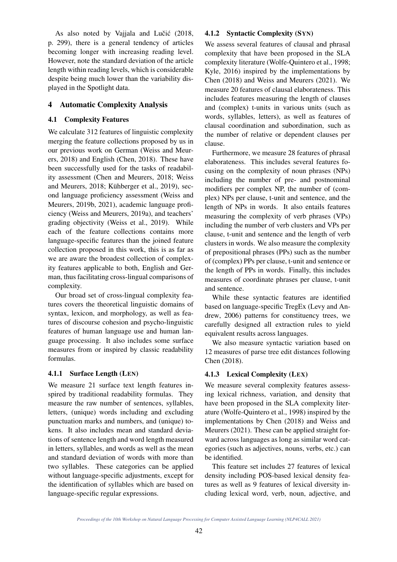As also noted by Vajjala and Lučić (2018, p. 299), there is a general tendency of articles becoming longer with increasing reading level. However, note the standard deviation of the article length within reading levels, which is considerable despite being much lower than the variability displayed in the Spotlight data.

### 4 Automatic Complexity Analysis

### 4.1 Complexity Features

We calculate 312 features of linguistic complexity merging the feature collections proposed by us in our previous work on German (Weiss and Meurers, 2018) and English (Chen, 2018). These have been successfully used for the tasks of readability assessment (Chen and Meurers, 2018; Weiss and Meurers, 2018; Kühberger et al., 2019), second language proficiency assessment (Weiss and Meurers, 2019b, 2021), academic language proficiency (Weiss and Meurers, 2019a), and teachers' grading objectivity (Weiss et al., 2019). While each of the feature collections contains more language-specific features than the joined feature collection proposed in this work, this is as far as we are aware the broadest collection of complexity features applicable to both, English and German, thus facilitating cross-lingual comparisons of complexity.

Our broad set of cross-lingual complexity features covers the theoretical linguistic domains of syntax, lexicon, and morphology, as well as features of discourse cohesion and psycho-linguistic features of human language use and human language processing. It also includes some surface measures from or inspired by classic readability formulas.

### 4.1.1 Surface Length (LEN)

We measure 21 surface text length features inspired by traditional readability formulas. They measure the raw number of sentences, syllables, letters, (unique) words including and excluding punctuation marks and numbers, and (unique) tokens. It also includes mean and standard deviations of sentence length and word length measured in letters, syllables, and words as well as the mean and standard deviation of words with more than two syllables. These categories can be applied without language-specific adjustments, except for the identification of syllables which are based on language-specific regular expressions.

### 4.1.2 Syntactic Complexity (SYN)

We assess several features of clausal and phrasal complexity that have been proposed in the SLA complexity literature (Wolfe-Quintero et al., 1998; Kyle, 2016) inspired by the implementations by Chen (2018) and Weiss and Meurers (2021). We measure 20 features of clausal elaborateness. This includes features measuring the length of clauses and (complex) t-units in various units (such as words, syllables, letters), as well as features of clausal coordination and subordination, such as the number of relative or dependent clauses per clause.

Furthermore, we measure 28 features of phrasal elaborateness. This includes several features focusing on the complexity of noun phrases (NPs) including the number of pre- and postnominal modifiers per complex NP, the number of (complex) NPs per clause, t-unit and sentence, and the length of NPs in words. It also entails features measuring the complexity of verb phrases (VPs) including the number of verb clusters and VPs per clause, t-unit and sentence and the length of verb clusters in words. We also measure the complexity of prepositional phrases (PPs) such as the number of (complex) PPs per clause, t-unit and sentence or the length of PPs in words. Finally, this includes measures of coordinate phrases per clause, t-unit and sentence.

While these syntactic features are identified based on language-specific TregEx (Levy and Andrew, 2006) patterns for constituency trees, we carefully designed all extraction rules to yield equivalent results across languages.

We also measure syntactic variation based on 12 measures of parse tree edit distances following Chen (2018).

# 4.1.3 Lexical Complexity (LEX)

We measure several complexity features assessing lexical richness, variation, and density that have been proposed in the SLA complexity literature (Wolfe-Quintero et al., 1998) inspired by the implementations by Chen (2018) and Weiss and Meurers (2021). These can be applied straight forward across languages as long as similar word categories (such as adjectives, nouns, verbs, etc.) can be identified.

This feature set includes 27 features of lexical density including POS-based lexical density features as well as 9 features of lexical diversity including lexical word, verb, noun, adjective, and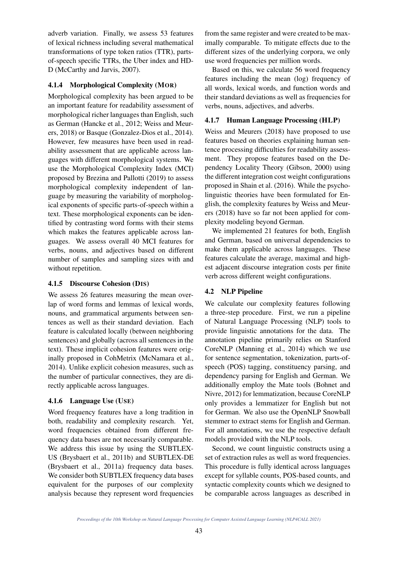adverb variation. Finally, we assess 53 features of lexical richness including several mathematical transformations of type token ratios (TTR), partsof-speech specific TTRs, the Uber index and HD-D (McCarthy and Jarvis, 2007).

## 4.1.4 Morphological Complexity (MOR)

Morphological complexity has been argued to be an important feature for readability assessment of morphological richer languages than English, such as German (Hancke et al., 2012; Weiss and Meurers, 2018) or Basque (Gonzalez-Dios et al., 2014). However, few measures have been used in readability assessment that are applicable across languages with different morphological systems. We use the Morphological Complexity Index (MCI) proposed by Brezina and Pallotti (2019) to assess morphological complexity independent of language by measuring the variability of morphological exponents of specific parts-of-speech within a text. These morphological exponents can be identified by contrasting word forms with their stems which makes the features applicable across languages. We assess overall 40 MCI features for verbs, nouns, and adjectives based on different number of samples and sampling sizes with and without repetition.

### 4.1.5 Discourse Cohesion (DIS)

We assess 26 features measuring the mean overlap of word forms and lemmas of lexical words, nouns, and grammatical arguments between sentences as well as their standard deviation. Each feature is calculated locally (between neighboring sentences) and globally (across all sentences in the text). These implicit cohesion features were originally proposed in CohMetrix (McNamara et al., 2014). Unlike explicit cohesion measures, such as the number of particular connectives, they are directly applicable across languages.

# 4.1.6 Language Use (USE)

Word frequency features have a long tradition in both, readability and complexity research. Yet, word frequencies obtained from different frequency data bases are not necessarily comparable. We address this issue by using the SUBTLEX-US (Brysbaert et al., 2011b) and SUBTLEX-DE (Brysbaert et al., 2011a) frequency data bases. We consider both SUBTLEX frequency data bases equivalent for the purposes of our complexity analysis because they represent word frequencies

from the same register and were created to be maximally comparable. To mitigate effects due to the different sizes of the underlying corpora, we only use word frequencies per million words.

Based on this, we calculate 56 word frequency features including the mean (log) frequency of all words, lexical words, and function words and their standard deviations as well as frequencies for verbs, nouns, adjectives, and adverbs.

# 4.1.7 Human Language Processing (HLP)

Weiss and Meurers (2018) have proposed to use features based on theories explaining human sentence processing difficulties for readability assessment. They propose features based on the Dependency Locality Theory (Gibson, 2000) using the different integration cost weight configurations proposed in Shain et al. (2016). While the psycholinguistic theories have been formulated for English, the complexity features by Weiss and Meurers (2018) have so far not been applied for complexity modeling beyond German.

We implemented 21 features for both, English and German, based on universal dependencies to make them applicable across languages. These features calculate the average, maximal and highest adjacent discourse integration costs per finite verb across different weight configurations.

# 4.2 NLP Pipeline

We calculate our complexity features following a three-step procedure. First, we run a pipeline of Natural Language Processing (NLP) tools to provide linguistic annotations for the data. The annotation pipeline primarily relies on Stanford CoreNLP (Manning et al., 2014) which we use for sentence segmentation, tokenization, parts-ofspeech (POS) tagging, constituency parsing, and dependency parsing for English and German. We additionally employ the Mate tools (Bohnet and Nivre, 2012) for lemmatization, because CoreNLP only provides a lemmatizer for English but not for German. We also use the OpenNLP Snowball stemmer to extract stems for English and German. For all annotations, we use the respective default models provided with the NLP tools.

Second, we count linguistic constructs using a set of extraction rules as well as word frequencies. This procedure is fully identical across languages except for syllable counts, POS-based counts, and syntactic complexity counts which we designed to be comparable across languages as described in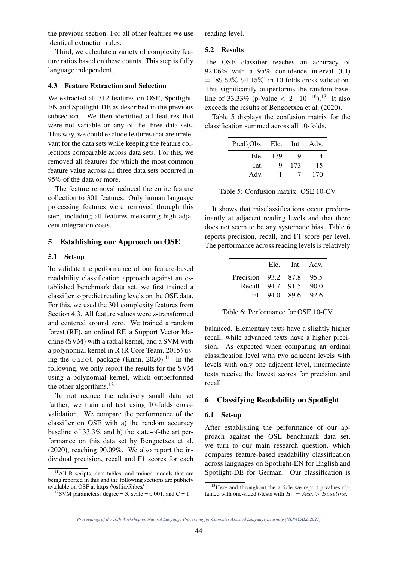the previous section. For all other features we use identical extraction rules.

Third, we calculate a variety of complexity feature ratios based on these counts. This step is fully language independent.

### 4.3 Feature Extraction and Selection

We extracted all 312 features on OSE, Spotlight-EN and Spotlight-DE as described in the previous subsection. We then identified all features that were not variable on any of the three data sets. This way, we could exclude features that are irrelevant for the data sets while keeping the feature collections comparable across data sets. For this, we removed all features for which the most common feature value across all three data sets occurred in 95% of the data or more.

The feature removal reduced the entire feature collection to 301 features. Only human language processing features were removed through this step, including all features measuring high adjacent integration costs.

### 5 Establishing our Approach on OSE

#### 5.1 Set-up

To validate the performance of our feature-based readability classification approach against an established benchmark data set, we first trained a classifier to predict reading levels on the OSE data. For this, we used the 301 complexity features from Section 4.3. All feature values were z-transformed and centered around zero. We trained a random forest (RF), an ordinal RF, a Support Vector Machine (SVM) with a radial kernel, and a SVM with a polynomial kernel in R (R Core Team, 2015) using the caret package (Kuhn, 2020). $^{11}$  In the following, we only report the results for the SVM using a polynomial kernel, which outperformed the other algorithms. $^{12}$ 

To not reduce the relatively small data set further, we train and test using 10-folds crossvalidation. We compare the performance of the classifier on OSE with a) the random accuracy baseline of 33.3% and b) the state-of-the art performance on this data set by Bengoetxea et al. (2020), reaching 90.09%. We also report the individual precision, recall and F1 scores for each reading level.

#### 5.2 Results

The OSE classifier reaches an accuracy of 92.06% with a 95% confidence interval (CI)  $=$  [89.52\%, 94.15\%] in 10-folds cross-validation. This significantly outperforms the random baseline of 33.33% (p-Value  $\langle 2 \cdot 10^{-16} \rangle$ .<sup>13</sup> It also exceeds the results of Bengoetxea et al. (2020).

Table 5 displays the confusion matrix for the classification summed across all 10-folds.

| Pred\Obs. Ele. Int. Adv. |      |               |     |
|--------------------------|------|---------------|-----|
| Ele.                     | -179 | Q             | 4   |
| Int.                     | Q    | 173           | 15  |
| Adv.                     | Τ.   | $\frac{1}{2}$ | 170 |

Table 5: Confusion matrix: OSE 10-CV

It shows that misclassifications occur predominantly at adjacent reading levels and that there does not seem to be any systematic bias. Table 6 reports precision, recall, and F1 score per level. The performance across reading levels is relatively

|                          | Ele. Int. Adv. |  |
|--------------------------|----------------|--|
| Precision 93.2 87.8 95.5 |                |  |
| Recall 94.7 91.5 90.0    |                |  |
| F1 =                     | 94.0 89.6 92.6 |  |

Table 6: Performance for OSE 10-CV

balanced. Elementary texts have a slightly higher recall, while advanced texts have a higher precision. As expected when comparing an ordinal classification level with two adjacent levels with levels with only one adjacent level, intermediate texts receive the lowest scores for precision and recall.

### 6 Classifying Readability on Spotlight

#### 6.1 Set-up

After establishing the performance of our approach against the OSE benchmark data set, we turn to our main research question, which compares feature-based readability classification across languages on Spotlight-EN for English and Spotlight-DE for German. Our classification is

<sup>&</sup>lt;sup>11</sup>All R scripts, data tables, and trained models that are being reported in this and the following sections are publicly available on OSF at https://osf.io/5hbcs/

<sup>&</sup>lt;sup>12</sup>SVM parameters: degree = 3, scale =  $0.001$ , and C = 1.

<sup>&</sup>lt;sup>13</sup>Here and throughout the article we report p-values obtained with one-sided t-tests with  $H_1 = Acc. > Baseline.$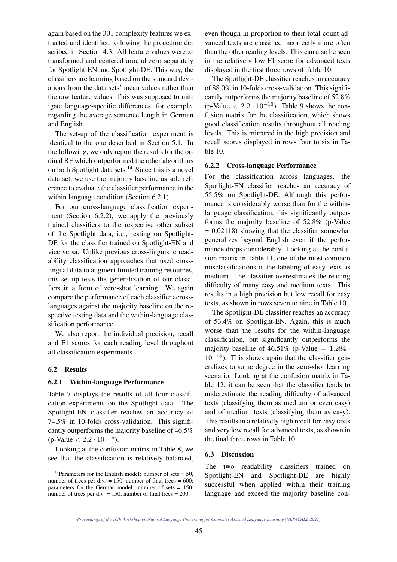again based on the 301 complexity features we extracted and identified following the procedure described in Section 4.3. All feature values were ztransformed and centered around zero separately for Spotlight-EN and Spotlight-DE. This way, the classifiers are learning based on the standard deviations from the data sets' mean values rather than the raw feature values. This was supposed to mitigate language-specific differences, for example, regarding the average sentence length in German and English.

The set-up of the classification experiment is identical to the one described in Section 5.1. In the following, we only report the results for the ordinal RF which outperformed the other algorithms on both Spotlight data sets.<sup>14</sup> Since this is a novel data set, we use the majority baseline as sole reference to evaluate the classifier performance in the within language condition (Section 6.2.1).

For our cross-language classification experiment (Section 6.2.2), we apply the previously trained classifiers to the respective other subset of the Spotlight data, i.e., testing on Spotlight-DE for the classifier trained on Spotlight-EN and vice versa. Unlike previous cross-linguistic readability classification approaches that used crosslingual data to augment limited training resources, this set-up tests the generalization of our classifiers in a form of zero-shot learning. We again compare the performance of each classifier acrosslanguages against the majority baseline on the respective testing data and the within-language classification performance.

We also report the individual precision, recall and F1 scores for each reading level throughout all classification experiments.

#### 6.2 Results

#### 6.2.1 Within-language Performance

Table 7 displays the results of all four classification experiments on the Spotlight data. The Spotlight-EN classifier reaches an accuracy of 74.5% in 10-folds cross-validation. This significantly outperforms the majority baseline of 46.5%  $(p\text{-Value} < 2.2 \cdot 10^{-16}).$ 

Looking at the confusion matrix in Table 8, we see that the classification is relatively balanced, even though in proportion to their total count advanced texts are classified incorrectly more often than the other reading levels. This can also be seen in the relatively low F1 score for advanced texts displayed in the first three rows of Table 10.

The Spotlight-DE classifier reaches an accuracy of 88.0% in 10-folds cross-validation. This significantly outperforms the majority baseline of 52.8% (p-Value  $\langle 2.2 \cdot 10^{-16} \rangle$ ). Table 9 shows the confusion matrix for the classification, which shows good classification results throughout all reading levels. This is mirrored in the high precision and recall scores displayed in rows four to six in Table 10.

### 6.2.2 Cross-language Performance

For the classification across languages, the Spotlight-EN classifier reaches an accuracy of 55.5% on Spotlight-DE. Although this performance is considerably worse than for the withinlanguage classification, this significantly outperforms the majority baseline of 52.8% (p-Value  $= 0.02118$ ) showing that the classifier somewhat generalizes beyond English even if the performance drops considerably. Looking at the confusion matrix in Table 11, one of the most common misclassifications is the labeling of easy texts as medium. The classifier overestimates the reading difficulty of many easy and medium texts. This results in a high precision but low recall for easy texts, as shown in rows seven to nine in Table 10.

The Spotlight-DE classifier reaches an accuracy of 53.4% on Spotlight-EN. Again, this is much worse than the results for the within-language classification, but significantly outperforms the majority baseline of 46.51% (p-Value  $= 1.284$ .  $10^{-15}$ ). This shows again that the classifier generalizes to some degree in the zero-shot learning scenario. Looking at the confusion matrix in Table 12, it can be seen that the classifier tends to underestimate the reading difficulty of advanced texts (classifying them as medium or even easy) and of medium texts (classifying them as easy). This results in a relatively high recall for easy texts and very low recall for advanced texts, as shown in the final three rows in Table 10.

#### 6.3 Discussion

The two readability classifiers trained on Spotlight-EN and Spotlight-DE are highly successful when applied within their training language and exceed the majority baseline con-

<sup>&</sup>lt;sup>14</sup>Parameters for the English model: number of sets = 50, number of trees per div.  $= 150$ , number of final trees  $= 600$ ; parameters for the German model: number of sets  $= 150$ , number of trees per div. = 150, number of final trees = 200.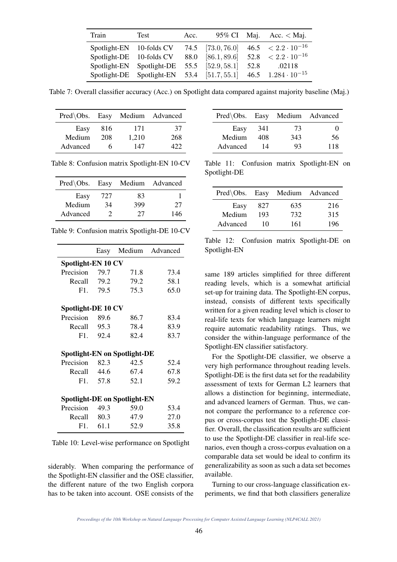| Train                    | Test                             | Acc. |                   |      | 95% CI Maj. Acc. $<$ Maj.      |
|--------------------------|----------------------------------|------|-------------------|------|--------------------------------|
| Spotlight-EN 10-folds CV |                                  |      | 74.5 [73.0, 76.0] |      | $46.5 \leq 2.2 \cdot 10^{-16}$ |
| Spotlight-DE 10-folds CV |                                  |      | 88.0 [86.1, 89.6] |      | 52.8 $< 2.2 \cdot 10^{-16}$    |
| Spotlight-EN             | Spotlight-DE                     |      | 55.5 [52.9, 58.1] | 52.8 | .02118                         |
| Spotlight-DE             | Spotlight-EN $53.4$ [51.7, 55.1] |      |                   |      | 46.5 $1.284 \cdot 10^{-15}$    |

Table 7: Overall classifier accuracy (Acc.) on Spotlight data compared against majority baseline (Maj.)

| Pred\Obs. Easy Medium Advanced |     |       |     |
|--------------------------------|-----|-------|-----|
| Easy                           | 816 | 171   | 37  |
| Medium                         | 208 | 1,210 | 268 |
| Advanced                       | 6   | 147   | 422 |

Table 8: Confusion matrix Spotlight-EN 10-CV

| Pred\Obs. Easy Medium Advanced |     |     |     |
|--------------------------------|-----|-----|-----|
| Easy                           | 727 | 83  |     |
| Medium                         | 34  | 399 | 27  |
| Advanced                       | 7   | 27  | 146 |

| Table 9: Confusion matrix Spotlight-DE 10-CV |
|----------------------------------------------|
|----------------------------------------------|

|                                     |          |                                     | Easy Medium Advanced |  |  |
|-------------------------------------|----------|-------------------------------------|----------------------|--|--|
| Spotlight-EN 10 CV                  |          |                                     |                      |  |  |
| Precision                           | 79.7     | 71.8                                | 73.4                 |  |  |
| Recall 79.2                         |          | 79.2                                | 58.1                 |  |  |
|                                     | F1. 79.5 | 75.3                                | 65.0                 |  |  |
| Spotlight-DE 10 CV                  |          |                                     |                      |  |  |
| Precision 89.6                      |          | 86.7                                | 83.4                 |  |  |
| Recall 95.3                         |          | 78.4                                | 83.9                 |  |  |
|                                     | F1. 92.4 | 82.4                                | 83.7                 |  |  |
|                                     |          | <b>Spotlight-EN on Spotlight-DE</b> |                      |  |  |
| Precision 82.3                      |          | 42.5                                | 52.4                 |  |  |
| Recall 44.6                         |          | 67.4                                | 67.8                 |  |  |
|                                     | F1. 57.8 | 52.1                                | 59.2                 |  |  |
| <b>Spotlight-DE on Spotlight-EN</b> |          |                                     |                      |  |  |
| Precision 49.3                      |          | 59.0                                | 53.4                 |  |  |
| Recall 80.3                         |          | 47.9                                | 27.0                 |  |  |
|                                     | F1. 61.1 | 52.9                                | 35.8                 |  |  |

Table 10: Level-wise performance on Spotlight

siderably. When comparing the performance of the Spotlight-EN classifier and the OSE classifier, the different nature of the two English corpora has to be taken into account. OSE consists of the

| $Pred\backslash Obs.$ Easy |     |     | Medium Advanced |
|----------------------------|-----|-----|-----------------|
| Easy                       | 341 | 73  | 0               |
| Medium                     | 408 | 343 | 56              |
| Advanced                   | 14  | 93  | 118             |

Table 11: Confusion matrix Spotlight-EN on Spotlight-DE

| Pred\Obs. Easy Medium Advanced |     |     |     |
|--------------------------------|-----|-----|-----|
| Easy                           | 827 | 635 | 216 |
| Medium                         | 193 | 732 | 315 |
| Advanced                       | 10  | 161 | 196 |

Table 12: Confusion matrix Spotlight-DE on Spotlight-EN

same 189 articles simplified for three different reading levels, which is a somewhat artificial set-up for training data. The Spotlight-EN corpus, instead, consists of different texts specifically written for a given reading level which is closer to real-life texts for which language learners might require automatic readability ratings. Thus, we consider the within-language performance of the Spotlight-EN classifier satisfactory.

For the Spotlight-DE classifier, we observe a very high performance throughout reading levels. Spotlight-DE is the first data set for the readability assessment of texts for German L2 learners that allows a distinction for beginning, intermediate, and advanced learners of German. Thus, we cannot compare the performance to a reference corpus or cross-corpus test the Spotlight-DE classifier. Overall, the classification results are sufficient to use the Spotlight-DE classifier in real-life scenarios, even though a cross-corpus evaluation on a comparable data set would be ideal to confirm its generalizability as soon as such a data set becomes available.

Turning to our cross-language classification experiments, we find that both classifiers generalize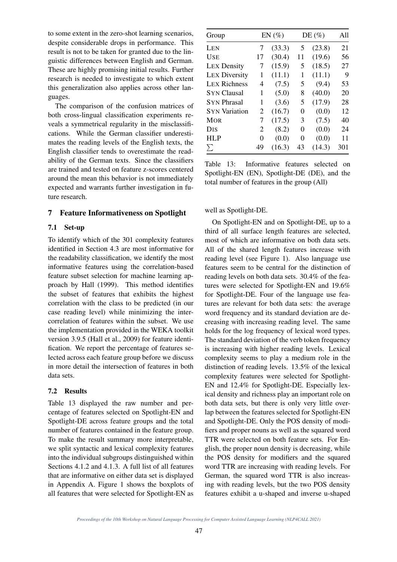to some extent in the zero-shot learning scenarios, despite considerable drops in performance. This result is not to be taken for granted due to the linguistic differences between English and German. These are highly promising initial results. Further research is needed to investigate to which extent this generalization also applies across other languages.

The comparison of the confusion matrices of both cross-lingual classification experiments reveals a symmetrical regularity in the misclassifications. While the German classifier underestimates the reading levels of the English texts, the English classifier tends to overestimate the readability of the German texts. Since the classifiers are trained and tested on feature z-scores centered around the mean this behavior is not immediately expected and warrants further investigation in future research.

### 7 Feature Informativeness on Spotlight

#### 7.1 Set-up

To identify which of the 301 complexity features identified in Section 4.3 are most informative for the readability classification, we identify the most informative features using the correlation-based feature subset selection for machine learning approach by Hall (1999). This method identifies the subset of features that exhibits the highest correlation with the class to be predicted (in our case reading level) while minimizing the intercorrelation of features within the subset. We use the implementation provided in the WEKA toolkit version 3.9.5 (Hall et al., 2009) for feature identification. We report the percentage of features selected across each feature group before we discuss in more detail the intersection of features in both data sets.

#### 7.2 Results

Table 13 displayed the raw number and percentage of features selected on Spotlight-EN and Spotlight-DE across feature groups and the total number of features contained in the feature group. To make the result summary more interpretable, we split syntactic and lexical complexity features into the individual subgroups distinguished within Sections 4.1.2 and 4.1.3. A full list of all features that are informative on either data set is displayed in Appendix A. Figure 1 shows the boxplots of all features that were selected for Spotlight-EN as

| Group                  | $EN(\%)$ |        | DE $(\%)$ |        | All |  |
|------------------------|----------|--------|-----------|--------|-----|--|
| LEN                    | 7        | (33.3) | 5         | (23.8) | 21  |  |
| <b>USE</b>             | 17       | (30.4) | 11        | (19.6) | 56  |  |
| <b>LEX Density</b>     | 7        | (15.9) | 5         | (18.5) | 27  |  |
| <b>LEX Diversity</b>   | 1        | (11.1) | 1         | (11.1) | 9   |  |
| <b>LEX Richness</b>    | 4        | (7.5)  | 5         | (9.4)  | 53  |  |
| <b>SYN Clausal</b>     | 1        | (5.0)  | 8         | (40.0) | 20  |  |
| <b>SYN Phrasal</b>     | 1        | (3.6)  | 5         | (17.9) | 28  |  |
| <b>SYN Variation</b>   | 2        | (16.7) | 0         | (0.0)  | 12  |  |
| <b>MOR</b>             | 7        | (17.5) | 3         | (7.5)  | 40  |  |
| <b>D</b> <sub>IS</sub> | 2        | (8.2)  | 0         | (0.0)  | 24  |  |
| <b>HLP</b>             | 0        | (0.0)  | 0         | (0.0)  | 11  |  |
| $\sum$                 | 49       | (16.3) | 43        | (14.3) | 301 |  |

Table 13: Informative features selected on Spotlight-EN (EN), Spotlight-DE (DE), and the total number of features in the group (All)

#### well as Spotlight-DE.

On Spotlight-EN and on Spotlight-DE, up to a third of all surface length features are selected, most of which are informative on both data sets. All of the shared length features increase with reading level (see Figure 1). Also language use features seem to be central for the distinction of reading levels on both data sets. 30.4% of the features were selected for Spotlight-EN and 19.6% for Spotlight-DE. Four of the language use features are relevant for both data sets: the average word frequency and its standard deviation are decreasing with increasing reading level. The same holds for the log frequency of lexical word types. The standard deviation of the verb token frequency is increasing with higher reading levels. Lexical complexity seems to play a medium role in the distinction of reading levels. 13.5% of the lexical complexity features were selected for Spotlight-EN and 12.4% for Spotlight-DE. Especially lexical density and richness play an important role on both data sets, but there is only very little overlap between the features selected for Spotlight-EN and Spotlight-DE. Only the POS density of modifiers and proper nouns as well as the squared word TTR were selected on both feature sets. For English, the proper noun density is decreasing, while the POS density for modifiers and the squared word TTR are increasing with reading levels. For German, the squared word TTR is also increasing with reading levels, but the two POS density features exhibit a u-shaped and inverse u-shaped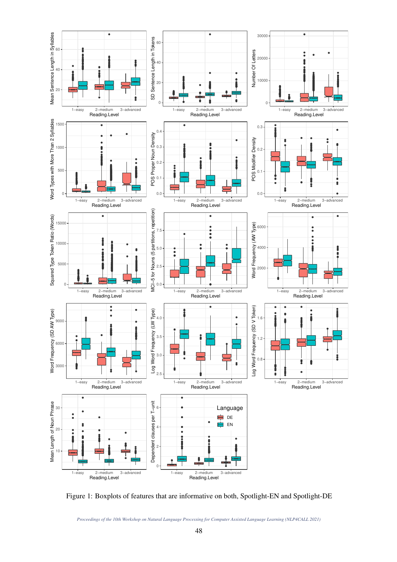

Figure 1: Boxplots of features that are informative on both, Spotlight-EN and Spotlight-DE

*Proceedings of the 10th Workshop on Natural Language Processing for Computer Assisted Language Learning (NLP4CALL 2021)*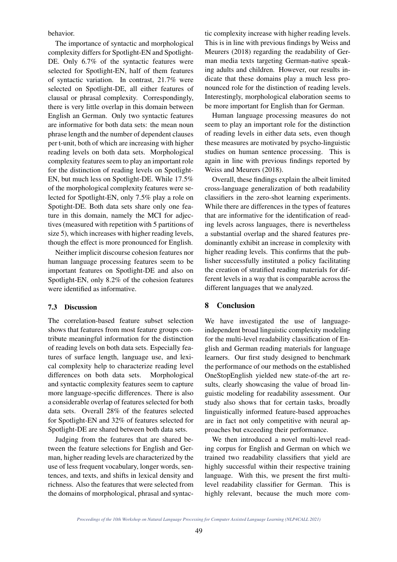behavior.

The importance of syntactic and morphological complexity differs for Spotlight-EN and Spotlight-DE. Only 6.7% of the syntactic features were selected for Spotlight-EN, half of them features of syntactic variation. In contrast, 21.7% were selected on Spotlight-DE, all either features of clausal or phrasal complexity. Correspondingly, there is very little overlap in this domain between English an German. Only two syntactic features are informative for both data sets: the mean noun phrase length and the number of dependent clauses per t-unit, both of which are increasing with higher reading levels on both data sets. Morphological complexity features seem to play an important role for the distinction of reading levels on Spotlight-EN, but much less on Spotlight-DE. While 17.5% of the morphological complexity features were selected for Spotlight-EN, only 7.5% play a role on Spotight-DE. Both data sets share only one feature in this domain, namely the MCI for adjectives (measured with repetition with 5 partitions of size 5), which increases with higher reading levels, though the effect is more pronounced for English.

Neither implicit discourse cohesion features nor human language processing features seem to be important features on Spotlight-DE and also on Spotlight-EN, only 8.2% of the cohesion features were identified as informative.

#### 7.3 Discussion

The correlation-based feature subset selection shows that features from most feature groups contribute meaningful information for the distinction of reading levels on both data sets. Especially features of surface length, language use, and lexical complexity help to characterize reading level differences on both data sets. Morphological and syntactic complexity features seem to capture more language-specific differences. There is also a considerable overlap of features selected for both data sets. Overall 28% of the features selected for Spotlight-EN and 32% of features selected for Spotlight-DE are shared between both data sets.

Judging from the features that are shared between the feature selections for English and German, higher reading levels are characterized by the use of less frequent vocabulary, longer words, sentences, and texts, and shifts in lexical density and richness. Also the features that were selected from the domains of morphological, phrasal and syntactic complexity increase with higher reading levels. This is in line with previous findings by Weiss and Meurers (2018) regarding the readability of German media texts targeting German-native speaking adults and children. However, our results indicate that these domains play a much less pronounced role for the distinction of reading levels. Interestingly, morphological elaboration seems to be more important for English than for German.

Human language processing measures do not seem to play an important role for the distinction of reading levels in either data sets, even though these measures are motivated by psycho-linguistic studies on human sentence processing. This is again in line with previous findings reported by Weiss and Meurers (2018).

Overall, these findings explain the albeit limited cross-language generalization of both readability classifiers in the zero-shot learning experiments. While there are differences in the types of features that are informative for the identification of reading levels across languages, there is nevertheless a substantial overlap and the shared features predominantly exhibit an increase in complexity with higher reading levels. This confirms that the publisher successfully instituted a policy facilitating the creation of stratified reading materials for different levels in a way that is comparable across the different languages that we analyzed.

### 8 Conclusion

We have investigated the use of languageindependent broad linguistic complexity modeling for the multi-level readability classification of English and German reading materials for language learners. Our first study designed to benchmark the performance of our methods on the established OneStopEnglish yielded new state-of-the art results, clearly showcasing the value of broad linguistic modeling for readability assessment. Our study also shows that for certain tasks, broadly linguistically informed feature-based approaches are in fact not only competitive with neural approaches but exceeding their performance.

We then introduced a novel multi-level reading corpus for English and German on which we trained two readability classifiers that yield are highly successful within their respective training language. With this, we present the first multilevel readability classifier for German. This is highly relevant, because the much more com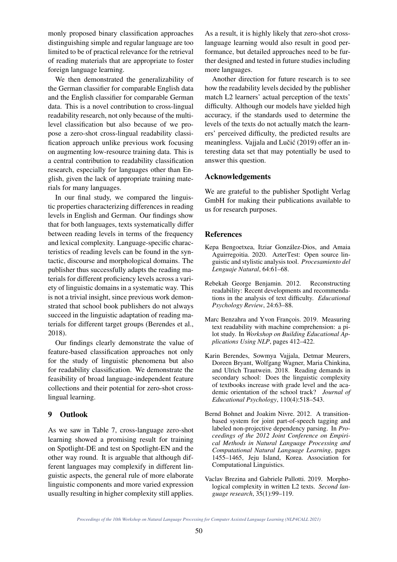monly proposed binary classification approaches distinguishing simple and regular language are too limited to be of practical relevance for the retrieval of reading materials that are appropriate to foster foreign language learning.

We then demonstrated the generalizability of the German classifier for comparable English data and the English classifier for comparable German data. This is a novel contribution to cross-lingual readability research, not only because of the multilevel classification but also because of we propose a zero-shot cross-lingual readability classification approach unlike previous work focusing on augmenting low-resource training data. This is a central contribution to readability classification research, especially for languages other than English, given the lack of appropriate training materials for many languages.

In our final study, we compared the linguistic properties characterizing differences in reading levels in English and German. Our findings show that for both languages, texts systematically differ between reading levels in terms of the frequency and lexical complexity. Language-specific characteristics of reading levels can be found in the syntactic, discourse and morphological domains. The publisher thus successfully adapts the reading materials for different proficiency levels across a variety of linguistic domains in a systematic way. This is not a trivial insight, since previous work demonstrated that school book publishers do not always succeed in the linguistic adaptation of reading materials for different target groups (Berendes et al., 2018).

Our findings clearly demonstrate the value of feature-based classification approaches not only for the study of linguistic phenomena but also for readability classification. We demonstrate the feasibility of broad language-independent feature collections and their potential for zero-shot crosslingual learning.

### 9 Outlook

As we saw in Table 7, cross-language zero-shot learning showed a promising result for training on Spotlight-DE and test on Spotlight-EN and the other way round. It is arguable that although different languages may complexify in different linguistic aspects, the general rule of more elaborate linguistic components and more varied expression usually resulting in higher complexity still applies. As a result, it is highly likely that zero-shot crosslanguage learning would also result in good performance, but detailed approaches need to be further designed and tested in future studies including more languages.

Another direction for future research is to see how the readability levels decided by the publisher match L2 learners' actual perception of the texts' difficulty. Although our models have yielded high accuracy, if the standards used to determine the levels of the texts do not actually match the learners' perceived difficulty, the predicted results are meaningless. Vajjala and Lučić (2019) offer an interesting data set that may potentially be used to answer this question.

#### Acknowledgements

We are grateful to the publisher Spotlight Verlag GmbH for making their publications available to us for research purposes.

#### **References**

- Kepa Bengoetxea, Itziar Gonzalez-Dios, and Amaia ´ Aguirregoitia. 2020. AzterTest: Open source linguistic and stylistic analysis tool. *Procesamiento del Lenguaje Natural*, 64:61–68.
- Rebekah George Benjamin. 2012. Reconstructing readability: Recent developments and recommendations in the analysis of text difficulty. *Educational Psychology Review*, 24:63–88.
- Marc Benzahra and Yvon François. 2019. Measuring text readability with machine comprehension: a pilot study. In *Workshop on Building Educational Applications Using NLP*, pages 412–422.
- Karin Berendes, Sowmya Vajjala, Detmar Meurers, Doreen Bryant, Wolfgang Wagner, Maria Chinkina, and Ulrich Trautwein. 2018. Reading demands in secondary school: Does the linguistic complexity of textbooks increase with grade level and the academic orientation of the school track? *Journal of Educational Psychology*, 110(4):518–543.
- Bernd Bohnet and Joakim Nivre. 2012. A transitionbased system for joint part-of-speech tagging and labeled non-projective dependency parsing. In *Proceedings of the 2012 Joint Conference on Empirical Methods in Natural Language Processing and Computational Natural Language Learning*, pages 1455–1465, Jeju Island, Korea. Association for Computational Linguistics.
- Vaclav Brezina and Gabriele Pallotti. 2019. Morphological complexity in written L2 texts. *Second language research*, 35(1):99–119.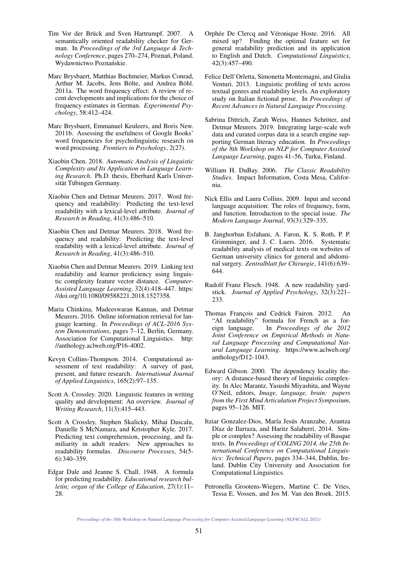- Tim Vor der Brück and Sven Hartrumpf. 2007. A semantically oriented readability checker for German. In *Proceedings of the 3rd Language & Technology Conference*, pages 270–274, Poznań, Poland. Wydawnictwo Poznańskie.
- Marc Brysbaert, Matthias Buchmeier, Markus Conrad, Arthur M. Jacobs, Jens Bölte, and Andrea Böhl. 2011a. The word frequency effect: A review of recent developments and implications for the choice of frequency estimates in German. *Experimental Psychology*, 58:412–424.
- Marc Brysbaert, Emmanuel Keuleers, and Boris New. 2011b. Assessing the usefulness of Google Books' word frequencies for psycholinguistic research on word processing. *Frontiers in Psychology*, 2(27).
- Xiaobin Chen. 2018. *Automatic Analysis of Linguistic Complexity and Its Application in Language Learning Research*. Ph.D. thesis, Eberhard Karls Universität Tübingen Germany.
- Xiaobin Chen and Detmar Meurers. 2017. Word frequency and readability: Predicting the text-level readability with a lexical-level attribute. *Journal of Research in Reading*, 41(3):486–510.
- Xiaobin Chen and Detmar Meurers. 2018. Word frequency and readability: Predicting the text-level readability with a lexical-level attribute. *Journal of Research in Reading*, 41(3):486–510.
- Xiaobin Chen and Detmar Meurers. 2019. Linking text readability and learner proficiency using linguistic complexity feature vector distance. *Computer-Assisted Language Learning*, 32(4):418–447. https: //doi.org/10.1080/09588221.2018.1527358.
- Maria Chinkina, Madeeswaran Kannan, and Detmar Meurers. 2016. Online information retrieval for language learning. In *Proceedings of ACL-2016 System Demonstrations*, pages 7–12, Berlin, Germany. Association for Computational Linguistics. http: //anthology.aclweb.org/P16-4002.
- Kevyn Collins-Thompson. 2014. Computational assessment of text readability: A survey of past, present, and future research. *International Journal of Applied Linguistics*, 165(2):97–135.
- Scott A. Crossley. 2020. Linguistic features in writing quality and development: An overview. *Journal of Writing Research*, 11(3):415–443.
- Scott A Crossley, Stephen Skalicky, Mihai Dascalu, Danielle S McNamara, and Kristopher Kyle. 2017. Predicting text comprehension, processing, and familiarity in adult readers: New approaches to readability formulas. *Discourse Processes*, 54(5- 6):340–359.
- Edgar Dale and Jeanne S. Chall. 1948. A formula for predicting readability. *Educational research bulletin; organ of the College of Education*, 27(1):11– 28.
- Orphée De Clercq and Véronique Hoste. 2016. All mixed up? Finding the optimal feature set for general readability prediction and its application to English and Dutch. *Computational Linguistics*, 42(3):457–490.
- Felice Dell'Orletta, Simonetta Montemagni, and Giulia Venturi. 2013. Linguistic profiling of texts across textual genres and readability levels. An exploratory study on Italian fictional prose. In *Proceedings of Recent Advances in Natural Language Processing*.
- Sabrina Dittrich, Zarah Weiss, Hannes Schröter, and Detmar Meurers. 2019. Integrating large-scale web data and curated corpus data in a search engine supporting German literacy education. In *Proceedings of the 8th Workshop on NLP for Computer Assisted Language Learning*, pages 41–56, Turku, Finland.
- William H. DuBay. 2006. *The Classic Readability Studies*. Impact Information, Costa Mesa, California.
- Nick Ellis and Laura Collins. 2009. Input and second language acquisition: The roles of frequency, form, and function. Introduction to the special issue. *The Modern Language Journal*, 93(3):329–335.
- B. Janghorban Esfahani, A. Faron, K. S. Roth, P. P. Grimminger, and J. C. Luers. 2016. Systematic readability analysis of medical texts on websites of German university clinics for general and abdominal surgery. *Zentralblatt fur Chirurgie*, 141(6):639– 644.
- Rudolf Franz Flesch. 1948. A new readability yardstick. *Journal of Applied Psychology*, 32(3):221– 233.
- Thomas François and Cedrick Fairon. 2012. An "AI readability" formula for French as a foreign language. In *Proceedings of the 2012 Joint Conference on Empirical Methods in Natural Language Processing and Computational Natural Language Learning*. https://www.aclweb.org/ anthology/D12-1043.
- Edward Gibson. 2000. The dependency locality theory: A distance-based theory of linguistic complexity. In Alec Marantz, Yasushi Miyashita, and Wayne O'Neil, editors, *Image, language, brain: papers from the First Mind Articulation Project Symposium*, pages 95–126. MIT.
- Itziar Gonzalez-Dios, María Jesús Aranzabe, Arantza Díaz de Ilarraza, and Haritz Salaberri. 2014. Simple or complex? Assessing the readability of Basque texts. In *Proceedings of COLING 2014, the 25th International Conference on Computational Linguistics: Technical Papers*, pages 334–344, Dublin, Ireland. Dublin City University and Association for Computational Linguistics.
- Petronella Grootens-Wiegers, Martine C. De Vries, Tessa E. Vossen, and Jos M. Van den Broek. 2015.

*Proceedings of the 10th Workshop on Natural Language Processing for Computer Assisted Language Learning (NLP4CALL 2021)*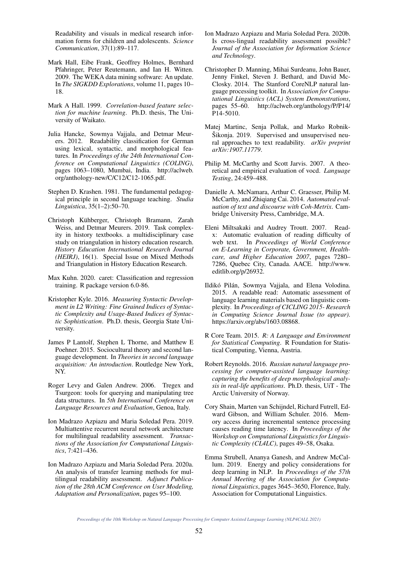Readability and visuals in medical research information forms for children and adolescents. *Science Communication*, 37(1):89–117.

- Mark Hall, Eibe Frank, Geoffrey Holmes, Bernhard Pfahringer, Peter Reutemann, and Ian H. Witten. 2009. The WEKA data mining software: An update. In *The SIGKDD Explorations*, volume 11, pages 10– 18.
- Mark A Hall. 1999. *Correlation-based feature selection for machine learning*. Ph.D. thesis, The University of Waikato.
- Julia Hancke, Sowmya Vajjala, and Detmar Meurers. 2012. Readability classification for German using lexical, syntactic, and morphological features. In *Proceedings of the 24th International Conference on Computational Linguistics (COLING)*, pages 1063–1080, Mumbai, India. http://aclweb. org/anthology-new/C/C12/C12-1065.pdf.
- Stephen D. Krashen. 1981. The fundamental pedagogical principle in second language teaching. *Studia Linguistica*, 35(1–2):50–70.
- Christoph Kuhberger, Christoph Bramann, Zarah ¨ Weiss, and Detmar Meurers. 2019. Task complexity in history textbooks. a multidisciplinary case study on triangulation in history education research. *History Education International Research Journal (HEIRJ)*, 16(1). Special Issue on Mixed Methods and Triangulation in History Education Research.
- Max Kuhn. 2020. caret: Classification and regression training. R package version 6.0-86.
- Kristopher Kyle. 2016. *Measuring Syntactic Development in L2 Writing: Fine Grained Indices of Syntactic Complexity and Usage-Based Indices of Syntactic Sophistication*. Ph.D. thesis, Georgia State University.
- James P Lantolf, Stephen L Thorne, and Matthew E Poehner. 2015. Sociocultural theory and second language development. In *Theories in second language acquisition: An introduction*. Routledge New York, NY.
- Roger Levy and Galen Andrew. 2006. Tregex and Tsurgeon: tools for querying and manipulating tree data structures. In *5th International Conference on Language Resources and Evaluation*, Genoa, Italy.
- Ion Madrazo Azpiazu and Maria Soledad Pera. 2019. Multiattentive recurrent neural network architecture for multilingual readability assessment. *Transactions of the Association for Computational Linguistics*, 7:421–436.
- Ion Madrazo Azpiazu and Maria Soledad Pera. 2020a. An analysis of transfer learning methods for multilingual readability assessment. *Adjunct Publication of the 28th ACM Conference on User Modeling, Adaptation and Personalization*, pages 95–100.
- Ion Madrazo Azpiazu and Maria Soledad Pera. 2020b. Is cross-lingual readability assessment possible? *Journal of the Association for Information Science and Technology*.
- Christopher D. Manning, Mihai Surdeanu, John Bauer, Jenny Finkel, Steven J. Bethard, and David Mc-Closky. 2014. The Stanford CoreNLP natural language processing toolkit. In *Association for Computational Linguistics (ACL) System Demonstrations*, pages 55–60. http://aclweb.org/anthology/P/P14/ P14-5010.
- Matej Martinc, Senja Pollak, and Marko Robnik-Šikonja. 2019. Supervised and unsupervised neural approaches to text readability. *arXiv preprint arXiv:1907.11779*.
- Philip M. McCarthy and Scott Jarvis. 2007. A theoretical and empirical evaluation of vocd. *Language Testing*, 24:459–488.
- Danielle A. McNamara, Arthur C. Graesser, Philip M. McCarthy, and Zhiqiang Cai. 2014. *Automated evaluation of text and discourse with Coh-Metrix*. Cambridge University Press, Cambridge, M.A.
- Eleni Miltsakaki and Audrey Troutt. 2007. Readx: Automatic evaluation of reading difficulty of web text. In *Proceedings of World Conference on E-Learning in Corporate, Government, Healthcare, and Higher Education 2007*, pages 7280– 7286, Quebec City, Canada. AACE. http://www. editlib.org/p/26932.
- Ildikó Pilán, Sowmya Vajjala, and Elena Volodina. 2015. A readable read: Automatic assessment of language learning materials based on linguistic complexity. In *Proceedings of CICLING 2015- Research in Computing Science Journal Issue (to appear)*. https://arxiv.org/abs/1603.08868.
- R Core Team. 2015. *R: A Language and Environment for Statistical Computing*. R Foundation for Statistical Computing, Vienna, Austria.
- Robert Reynolds. 2016. *Russian natural language processing for computer-assisted language learning: capturing the benefits of deep morphological analysis in real-life applications*. Ph.D. thesis, UiT - The Arctic University of Norway.
- Cory Shain, Marten van Schijndel, Richard Futrell, Edward Gibson, and William Schuler. 2016. Memory access during incremental sentence processing causes reading time latency. In *Proceedings of the Workshop on Computational Linguistics for Linguistic Complexity (CL4LC)*, pages 49–58, Osaka.
- Emma Strubell, Ananya Ganesh, and Andrew McCallum. 2019. Energy and policy considerations for deep learning in NLP. In *Proceedings of the 57th Annual Meeting of the Association for Computational Linguistics*, pages 3645–3650, Florence, Italy. Association for Computational Linguistics.

*Proceedings of the 10th Workshop on Natural Language Processing for Computer Assisted Language Learning (NLP4CALL 2021)*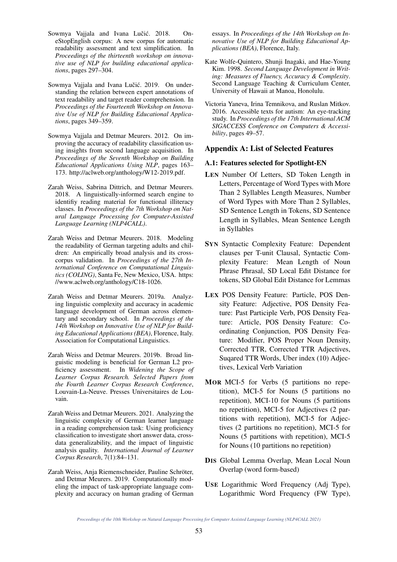- Sowmya Vajjala and Ivana Lučić. 2018. OneStopEnglish corpus: A new corpus for automatic readability assessment and text simplification. In *Proceedings of the thirteenth workshop on innovative use of NLP for building educational applications*, pages 297–304.
- Sowmya Vajjala and Ivana Lučić. 2019. On understanding the relation between expert annotations of text readability and target reader comprehension. In *Proceedings of the Fourteenth Workshop on Innovative Use of NLP for Building Educational Applications*, pages 349–359.
- Sowmya Vajjala and Detmar Meurers. 2012. On improving the accuracy of readability classification using insights from second language acquisition. In *Proceedings of the Seventh Workshop on Building Educational Applications Using NLP*, pages 163– 173. http://aclweb.org/anthology/W12-2019.pdf.
- Zarah Weiss, Sabrina Dittrich, and Detmar Meurers. 2018. A linguistically-informed search engine to identifiy reading material for functional illiteracy classes. In *Proceedings of the 7th Workshop on Natural Language Processing for Computer-Assisted Language Learning (NLP4CALL)*.
- Zarah Weiss and Detmar Meurers. 2018. Modeling the readability of German targeting adults and children: An empirically broad analysis and its crosscorpus validation. In *Proceedings of the 27th International Conference on Computational Linguistics (COLING)*, Santa Fe, New Mexico, USA. https: //www.aclweb.org/anthology/C18-1026.
- Zarah Weiss and Detmar Meurers. 2019a. Analyzing linguistic complexity and accuracy in academic language development of German across elementary and secondary school. In *Proceedings of the 14th Workshop on Innovative Use of NLP for Building Educational Applications (BEA)*, Florence, Italy. Association for Computational Linguistics.
- Zarah Weiss and Detmar Meurers. 2019b. Broad linguistic modeling is beneficial for German L2 proficiency assessment. In *Widening the Scope of Learner Corpus Research. Selected Papers from the Fourth Learner Corpus Research Conference*, Louvain-La-Neuve. Presses Universitaires de Louvain.
- Zarah Weiss and Detmar Meurers. 2021. Analyzing the linguistic complexity of German learner language in a reading comprehension task: Using proficiency classification to investigate short answer data, crossdata generalizability, and the impact of linguistic analysis quality. *International Journal of Learner Corpus Research*, 7(1):84–131.
- Zarah Weiss, Anja Riemenschneider, Pauline Schröter, and Detmar Meurers. 2019. Computationally modeling the impact of task-appropriate language complexity and accuracy on human grading of German

essays. In *Proceedings of the 14th Workshop on Innovative Use of NLP for Building Educational Applications (BEA)*, Florence, Italy.

- Kate Wolfe-Quintero, Shunji Inagaki, and Hae-Young Kim. 1998. *Second Language Development in Writing: Measures of Fluency, Accuracy & Complexity*. Second Language Teaching & Curriculum Center, University of Hawaii at Manoa, Honolulu.
- Victoria Yaneva, Irina Temnikova, and Ruslan Mitkov. 2016. Accessible texts for autism: An eye-tracking study. In *Proceedings of the 17th International ACM SIGACCESS Conference on Computers & Accessibility*, pages 49–57.

### Appendix A: List of Selected Features

#### A.1: Features selected for Spotlight-EN

- LEN Number Of Letters, SD Token Length in Letters, Percentage of Word Types with More Than 2 Syllables Length Measures, Number of Word Types with More Than 2 Syllables, SD Sentence Length in Tokens, SD Sentence Length in Syllables, Mean Sentence Length in Syllables
- SYN Syntactic Complexity Feature: Dependent clauses per T-unit Clausal, Syntactic Complexity Feature: Mean Length of Noun Phrase Phrasal, SD Local Edit Distance for tokens, SD Global Edit Distance for Lemmas
- LEX POS Density Feature: Particle, POS Density Feature: Adjective, POS Density Feature: Past Participle Verb, POS Density Feature: Article, POS Density Feature: Coordinating Conjunction, POS Density Feature: Modifier, POS Proper Noun Density, Corrected TTR, Corrected TTR Adjectives, Suqared TTR Words, Uber index (10) Adjectives, Lexical Verb Variation
- MOR MCI-5 for Verbs (5 partitions no repetition), MCI-5 for Nouns (5 partitions no repetition), MCI-10 for Nouns (5 partitions no repetition), MCI-5 for Adjectives (2 partitions with repetition), MCI-5 for Adjectives (2 partitions no repetition), MCI-5 for Nouns (5 partitions with repetition), MCI-5 for Nouns (10 partitions no repetition)
- DIS Global Lemma Overlap, Mean Local Noun Overlap (word form-based)
- USE Logarithmic Word Frequency (Adj Type), Logarithmic Word Frequency (FW Type),

*Proceedings of the 10th Workshop on Natural Language Processing for Computer Assisted Language Learning (NLP4CALL 2021)*